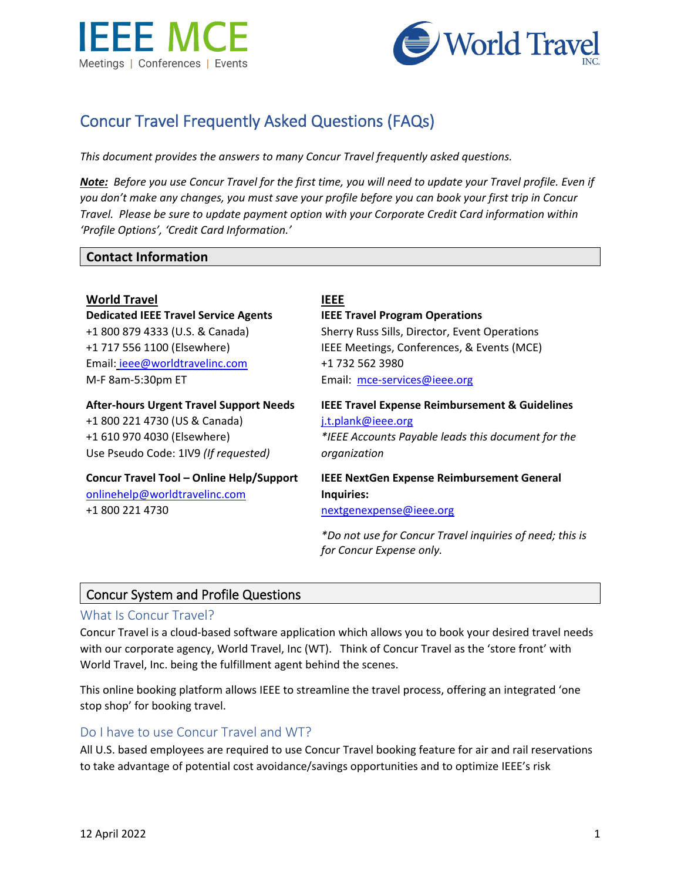



# Concur Travel Frequently Asked Questions (FAQs)

*This document provides the answers to many Concur Travel frequently asked questions.* 

*Note: Before you use Concur Travel for the first time, you will need to update your Travel profile. Even if you don't make any changes, you must save your profile before you can book your first trip in Concur Travel. Please be sure to update payment option with your Corporate Credit Card information within 'Profile Options', 'Credit Card Information.'*

## **Contact Information**

**World Travel IEEE Dedicated IEEE Travel Service Agents**  +1 800 879 4333 (U.S. & Canada) +1 717 556 1100 (Elsewhere) Email: [ieee@worldtravelinc.com](mailto:ieee@worldtravelinc.com) M-F 8am-5:30pm ET

**After-hours Urgent Travel Support Needs**

+1 800 221 4730 (US & Canada) +1 610 970 4030 (Elsewhere) Use Pseudo Code: 1IV9 *(If requested)*

**Concur Travel Tool – Online Help/Support**  [onlinehelp@worldtravelinc.com](mailto:onlinehelp@worldtravelinc.com)

+1 800 221 4730

**IEEE Travel Program Operations** Sherry Russ Sills, Director, Event Operations IEEE Meetings, Conferences, & Events (MCE) +1 732 562 3980 Email: [mce-services@ieee.org](mailto:mce-services@ieee.org)

**IEEE Travel Expense Reimbursement & Guidelines**  [j.t.plank@ieee.org](mailto:j.t.plank@ieee.org) *\*IEEE Accounts Payable leads this document for the organization*

**IEEE NextGen Expense Reimbursement General Inquiries:** 

[nextgenexpense@ieee.org](mailto:nextgenexpense@ieee.org)

*\*Do not use for Concur Travel inquiries of need; this is for Concur Expense only.*

## Concur System and Profile Questions

#### What Is Concur Travel?

Concur Travel is a cloud-based software application which allows you to book your desired travel needs with our corporate agency, World Travel, Inc (WT). Think of Concur Travel as the 'store front' with World Travel, Inc. being the fulfillment agent behind the scenes.

This online booking platform allows IEEE to streamline the travel process, offering an integrated 'one stop shop' for booking travel.

## Do I have to use Concur Travel and WT?

All U.S. based employees are required to use Concur Travel booking feature for air and rail reservations to take advantage of potential cost avoidance/savings opportunities and to optimize IEEE's risk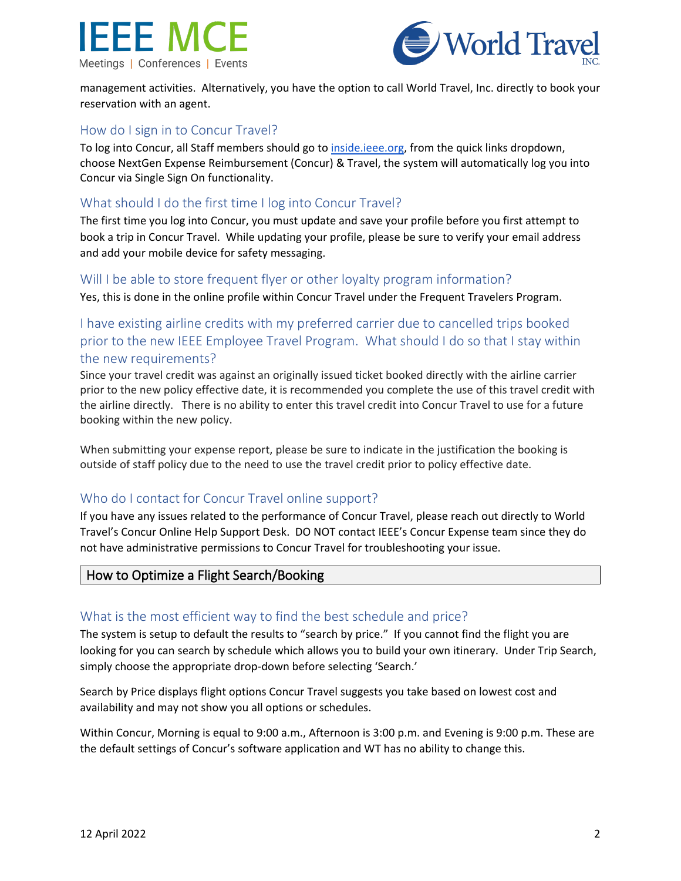



management activities. Alternatively, you have the option to call World Travel, Inc. directly to book your reservation with an agent.

## How do I sign in to Concur Travel?

To log into Concur, all Staff members should go to [inside.ieee.org,](http://inside.ieee.org/) from the quick links dropdown, choose NextGen Expense Reimbursement (Concur) & Travel, the system will automatically log you into Concur via Single Sign On functionality.

## What should I do the first time I log into Concur Travel?

The first time you log into Concur, you must update and save your profile before you first attempt to book a trip in Concur Travel. While updating your profile, please be sure to verify your email address and add your mobile device for safety messaging.

#### Will I be able to store frequent flyer or other loyalty program information?

Yes, this is done in the online profile within Concur Travel under the Frequent Travelers Program.

## I have existing airline credits with my preferred carrier due to cancelled trips booked prior to the new IEEE Employee Travel Program. What should I do so that I stay within the new requirements?

Since your travel credit was against an originally issued ticket booked directly with the airline carrier prior to the new policy effective date, it is recommended you complete the use of this travel credit with the airline directly. There is no ability to enter this travel credit into Concur Travel to use for a future booking within the new policy.

When submitting your expense report, please be sure to indicate in the justification the booking is outside of staff policy due to the need to use the travel credit prior to policy effective date.

## Who do I contact for Concur Travel online support?

If you have any issues related to the performance of Concur Travel, please reach out directly to World Travel's Concur Online Help Support Desk. DO NOT contact IEEE's Concur Expense team since they do not have administrative permissions to Concur Travel for troubleshooting your issue.

## How to Optimize a Flight Search/Booking

#### What is the most efficient way to find the best schedule and price?

The system is setup to default the results to "search by price." If you cannot find the flight you are looking for you can search by schedule which allows you to build your own itinerary. Under Trip Search, simply choose the appropriate drop-down before selecting 'Search.'

Search by Price displays flight options Concur Travel suggests you take based on lowest cost and availability and may not show you all options or schedules.

Within Concur, Morning is equal to 9:00 a.m., Afternoon is 3:00 p.m. and Evening is 9:00 p.m. These are the default settings of Concur's software application and WT has no ability to change this.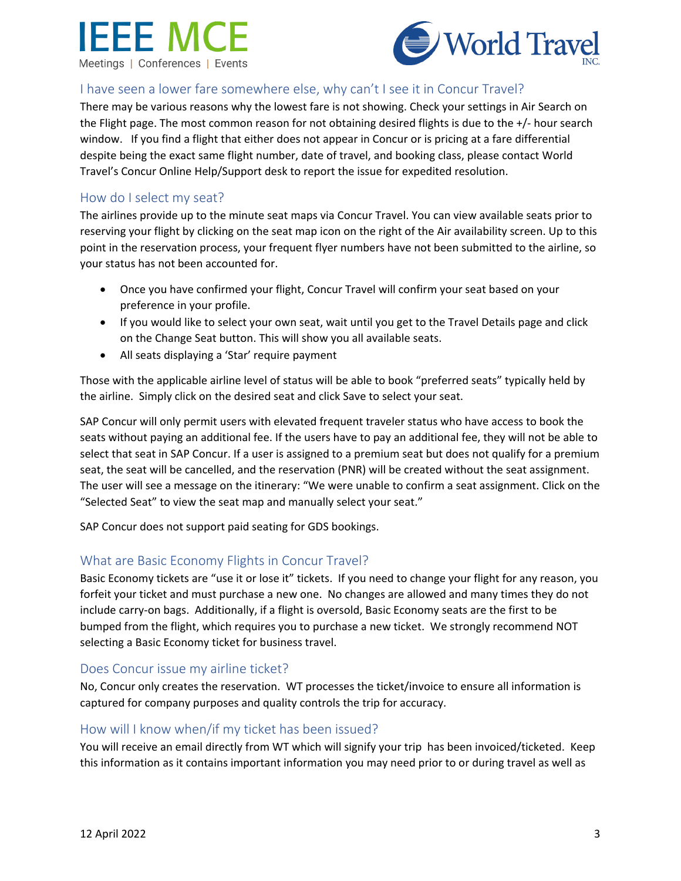



## I have seen a lower fare somewhere else, why can't I see it in Concur Travel?

There may be various reasons why the lowest fare is not showing. Check your settings in Air Search on the Flight page. The most common reason for not obtaining desired flights is due to the +/- hour search window. If you find a flight that either does not appear in Concur or is pricing at a fare differential despite being the exact same flight number, date of travel, and booking class, please contact World Travel's Concur Online Help/Support desk to report the issue for expedited resolution.

## How do I select my seat?

The airlines provide up to the minute seat maps via Concur Travel. You can view available seats prior to reserving your flight by clicking on the seat map icon on the right of the Air availability screen. Up to this point in the reservation process, your frequent flyer numbers have not been submitted to the airline, so your status has not been accounted for.

- Once you have confirmed your flight, Concur Travel will confirm your seat based on your preference in your profile.
- If you would like to select your own seat, wait until you get to the Travel Details page and click on the Change Seat button. This will show you all available seats.
- All seats displaying a 'Star' require payment

Those with the applicable airline level of status will be able to book "preferred seats" typically held by the airline. Simply click on the desired seat and click Save to select your seat.

SAP Concur will only permit users with elevated frequent traveler status who have access to book the seats without paying an additional fee. If the users have to pay an additional fee, they will not be able to select that seat in SAP Concur. If a user is assigned to a premium seat but does not qualify for a premium seat, the seat will be cancelled, and the reservation (PNR) will be created without the seat assignment. The user will see a message on the itinerary: "We were unable to confirm a seat assignment. Click on the "Selected Seat" to view the seat map and manually select your seat."

SAP Concur does not support paid seating for GDS bookings.

## What are Basic Economy Flights in Concur Travel?

Basic Economy tickets are "use it or lose it" tickets. If you need to change your flight for any reason, you forfeit your ticket and must purchase a new one. No changes are allowed and many times they do not include carry-on bags. Additionally, if a flight is oversold, Basic Economy seats are the first to be bumped from the flight, which requires you to purchase a new ticket. We strongly recommend NOT selecting a Basic Economy ticket for business travel.

## Does Concur issue my airline ticket?

No, Concur only creates the reservation. WT processes the ticket/invoice to ensure all information is captured for company purposes and quality controls the trip for accuracy.

## How will I know when/if my ticket has been issued?

You will receive an email directly from WT which will signify your trip has been invoiced/ticketed. Keep this information as it contains important information you may need prior to or during travel as well as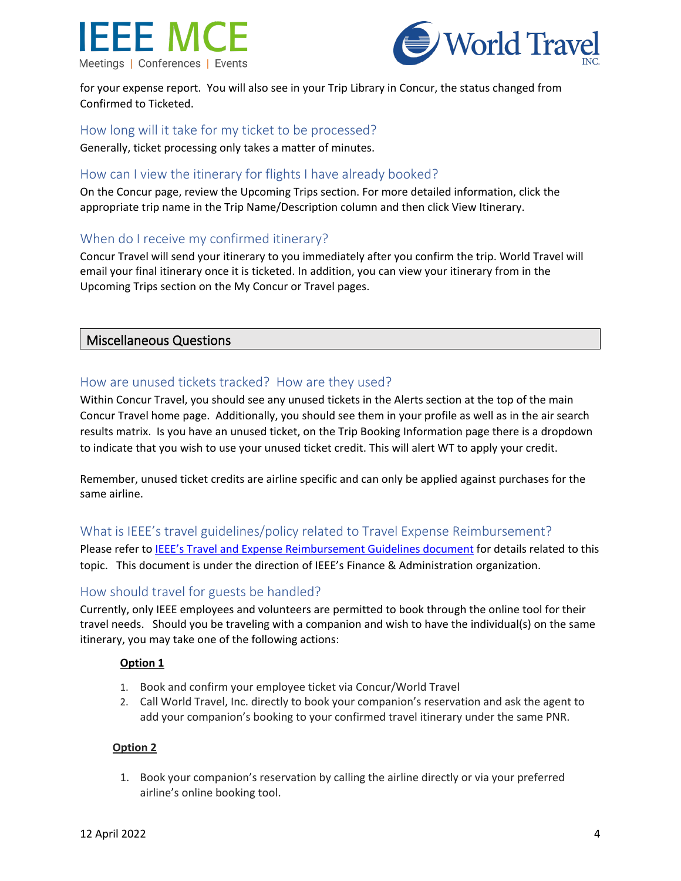



for your expense report. You will also see in your Trip Library in Concur, the status changed from Confirmed to Ticketed.

## How long will it take for my ticket to be processed?

Generally, ticket processing only takes a matter of minutes.

## How can I view the itinerary for flights I have already booked?

On the Concur page, review the Upcoming Trips section. For more detailed information, click the appropriate trip name in the Trip Name/Description column and then click View Itinerary.

## When do I receive my confirmed itinerary?

Concur Travel will send your itinerary to you immediately after you confirm the trip. World Travel will email your final itinerary once it is ticketed. In addition, you can view your itinerary from in the Upcoming Trips section on the My Concur or Travel pages.

#### Miscellaneous Questions

## How are unused tickets tracked? How are they used?

Within Concur Travel, you should see any unused tickets in the Alerts section at the top of the main Concur Travel home page. Additionally, you should see them in your profile as well as in the air search results matrix. Is you have an unused ticket, on the Trip Booking Information page there is a dropdown to indicate that you wish to use your unused ticket credit. This will alert WT to apply your credit.

Remember, unused ticket credits are airline specific and can only be applied against purchases for the same airline.

## What is IEEE's travel guidelines/policy related to Travel Expense Reimbursement?

Please refer t[o IEEE's Travel and Expense Reimbursement Guidelines document](https://17ieee.sharepoint.com/sites/FinanceAndAdministration/SitePages/Accounts-Payable.aspx) for details related to this topic. This document is under the direction of IEEE's Finance & Administration organization.

#### How should travel for guests be handled?

Currently, only IEEE employees and volunteers are permitted to book through the online tool for their travel needs. Should you be traveling with a companion and wish to have the individual(s) on the same itinerary, you may take one of the following actions:

#### **Option 1**

- 1. Book and confirm your employee ticket via Concur/World Travel
- 2. Call World Travel, Inc. directly to book your companion's reservation and ask the agent to add your companion's booking to your confirmed travel itinerary under the same PNR.

#### **Option 2**

1. Book your companion's reservation by calling the airline directly or via your preferred airline's online booking tool.